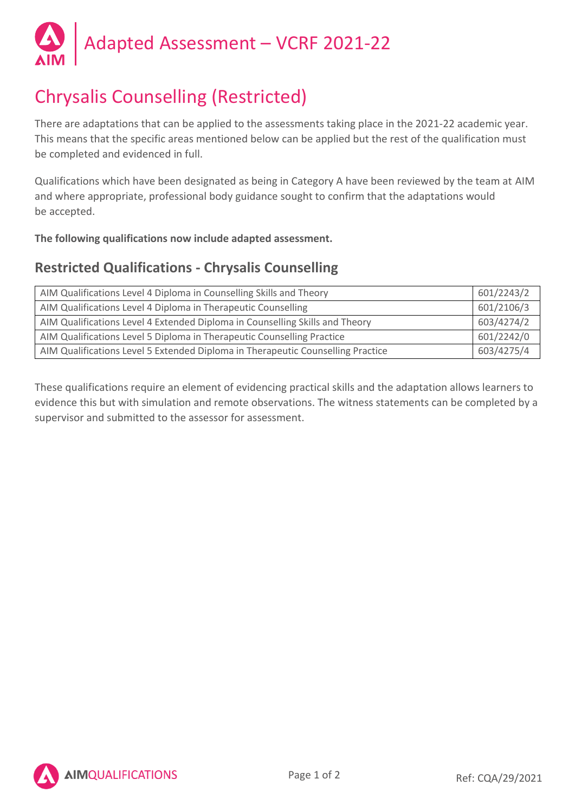

# Chrysalis Counselling (Restricted)

There are adaptations that can be applied to the assessments taking place in the 2021-22 academic year. This means that the specific areas mentioned below can be applied but the rest of the qualification must be completed and evidenced in full.

Qualifications which have been designated as being in Category A have been reviewed by the team at AIM and where appropriate, professional body guidance sought to confirm that the adaptations would be accepted.

**The following qualifications now include adapted assessment.**

## **Restricted Qualifications - Chrysalis Counselling**

| AIM Qualifications Level 4 Diploma in Counselling Skills and Theory             | 601/2243/2 |
|---------------------------------------------------------------------------------|------------|
| AIM Qualifications Level 4 Diploma in Therapeutic Counselling                   | 601/2106/3 |
| AIM Qualifications Level 4 Extended Diploma in Counselling Skills and Theory    | 603/4274/2 |
| AIM Qualifications Level 5 Diploma in Therapeutic Counselling Practice          | 601/2242/0 |
| AIM Qualifications Level 5 Extended Diploma in Therapeutic Counselling Practice | 603/4275/4 |

These qualifications require an element of evidencing practical skills and the adaptation allows learners to evidence this but with simulation and remote observations. The witness statements can be completed by a supervisor and submitted to the assessor for assessment.